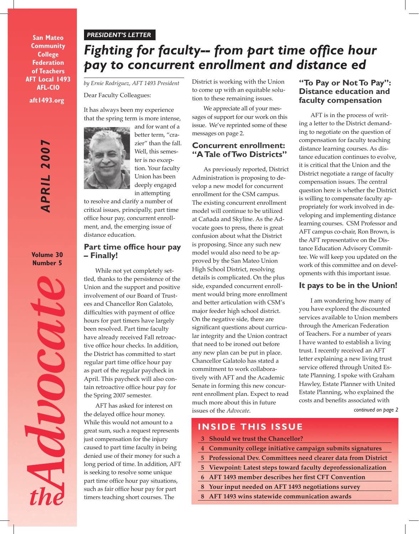#### *PRESIDENT'S LETTER*

**aft1493.org San Mateo Community College Federation of Teachers AFT Local 1493 AFL-CIO**

> APRIL 2007 *APRIL 2007*

**Volume 30 Number 5**



# *Fighting for faculty-- from part time office hour pay to concurrent enrollment and distance ed*

Dear Faculty Colleagues:

It has always been my experience that the spring term is more intense,



and for want of a better term, "crazier" than the fall. Well, this semester is no exception. Your faculty Union has been deeply engaged in attempting

to resolve and clarify a number of critical issues, principally, part time office hour pay, concurrent enrollment, and, the emerging issue of distance education.

#### **Part time office hour pay – Finally!**

While not yet completely settled, thanks to the persistence of the Union and the support and positive involvement of our Board of Trustees and Chancellor Ron Galatolo, difficulties with payment of office hours for part timers have largely been resolved. Part time faculty have already received Fall retroactive office hour checks. In addition, the District has committed to start regular part time office hour pay as part of the regular paycheck in April. This paycheck will also contain retroactive office hour pay for the Spring 2007 semester.

AFT has asked for interest on the delayed office hour money. While this would not amount to a great sum, such a request represents just compensation for the injury caused to part time faculty in being denied use of their money for such a long period of time. In addition, AFT is seeking to resolve some unique part time office hour pay situations, such as fair office hour pay for part timers teaching short courses. The

*by Ernie Rodriguez, AFT 1493 President* District is working with the Union to come up with an equitable solution to these remaining issues.

> We appreciate all of your messages of support for our work on this issue. We've reprinted some of these messages on page 2.

#### **Concurrent enrollment: "A Tale of Two Districts"**

As previously reported, District Administration is proposing to develop a new model for concurrent enrollment for the CSM campus. The existing concurrent enrollment model will continue to be utilized at Cañada and Skyline. As the Advocate goes to press, there is great confusion about what the District is proposing. Since any such new model would also need to be approved by the San Mateo Union High School District, resolving details is complicated. On the plus side, expanded concurrent enrollment would bring more enrollment and better articulation with CSM's major feeder high school district. On the negative side, there are significant questions about curricular integrity and the Union contract that need to be ironed out before any new plan can be put in place. Chancellor Galatolo has stated a commitment to work collaboratively with AFT and the Academic Senate in forming this new concurrent enrollment plan. Expect to read much more about this in future issues of the *Advocate*.

#### **"To Pay or Not To Pay": Distance education and faculty compensation**

AFT is in the process of writing a letter to the District demanding to negotiate on the question of compensation for faculty teaching distance learning courses. As distance education continues to evolve, it is critical that the Union and the District negotiate a range of faculty compensation issues. The central question here is whether the District is willing to compensate faculty appropriately for work involved in developing and implementing distance learning courses. CSM Professor and AFT campus co-chair, Ron Brown, is the AFT representative on the Distance Education Advisory Committee. We will keep you updated on the work of this committee and on developments with this important issue.

#### **It pays to be in the Union!**

I am wondering how many of you have explored the discounted services available to Union members through the American Federation of Teachers. For a number of years I have wanted to establish a living trust. I recently received an AFT letter explaining a new living trust service offered through United Estate Planning. I spoke with Graham Hawley, Estate Planner with United Estate Planning, who explained the costs and benefits associated with

*continued on page 2*

### **INSIDE THIS ISSUE**

- **3 Should we trust the Chancellor?**
- **4 Community college initiative campaign submits signatures**
- **5 Professional Dev. Committees need clearer data from District**
- **5 Viewpoint: Latest steps toward faculty deprofessionalization**
- **6 AFT 1493 member describes her first CFT Convention**
- **8 Your input needed on AFT 1493 negotiations survey**
- **8 AFT 1493 wins statewide communication awards**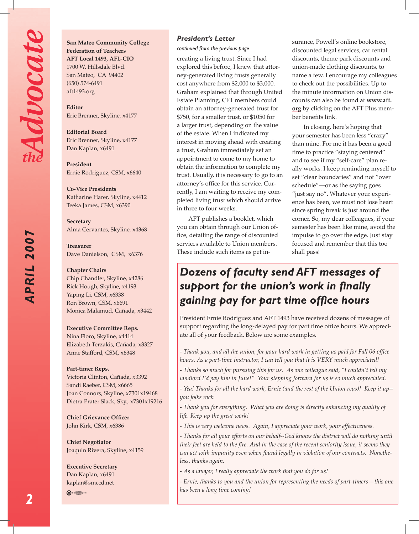*APRIL 2007*

APRIL 2007

**San Mateo Community College Federation of Teachers AFT Local 1493, AFL-CIO** 1700 W. Hillsdale Blvd. San Mateo, CA 94402 (650) 574-6491 aft1493.org

**Editor**  Eric Brenner, Skyline, x4177

**Editorial Board** Eric Brenner, Skyline, x4177 Dan Kaplan, x6491

**President**  Ernie Rodriguez, CSM, x6640

**Co-Vice Presidents** Katharine Harer, Skyline, x4412 Teeka James, CSM, x6390

**Secretary** Alma Cervantes, Skyline, x4368

**Treasurer** Dave Danielson, CSM, x6376

**Chapter Chairs** Chip Chandler, Skyline, x4286 Rick Hough, Skyline, x4193 Yaping Li, CSM, x6338 Ron Brown, CSM, x6691 Monica Malamud, Cañada, x3442

#### **Executive Committee Reps.**

Nina Floro, Skyline, x4414 Elizabeth Terzakis, Cañada, x3327 Anne Stafford, CSM, x6348

#### **Part-timer Reps.**

Victoria Clinton, Cañada, x3392 Sandi Raeber, CSM, x6665 Joan Connors, Skyline, x7301x19468 Dietra Prater Slack, Sky., x7301x19216

**Chief Grievance Officer** John Kirk, CSM, x6386

**Chief Negotiator** Joaquin Rivera, Skyline, x4159

**Executive Secretary** Dan Kaplan, x6491 kaplan@smccd.net

 $\bigoplus$  .  $\bigoplus$  ...

#### *President's Letter*

*continued from the previous page*

creating a living trust. Since I had explored this before, I knew that attorney-generated living trusts generally cost anywhere from \$2,000 to \$3,000. Graham explained that through United Estate Planning, CFT members could obtain an attorney-generated trust for \$750, for a smaller trust, or \$1050 for a larger trust, depending on the value of the estate. When I indicated my interest in moving ahead with creating a trust, Graham immediately set an appointment to come to my home to obtain the information to complete my trust. Usually, it is necessary to go to an attorney's office for this service. Currently, I am waiting to receive my completed living trust which should arrive in three to four weeks.

AFT publishes a booklet, which you can obtain through our Union office, detailing the range of discounted services available to Union members. These include such items as pet insurance, Powell's online bookstore, discounted legal services, car rental discounts, theme park discounts and union-made clothing discounts, to name a few. I encourage my colleagues to check out the possibilities. Up to the minute information on Union discounts can also be found at **www.aft. org** by clicking on the AFT Plus member benefits link.

In closing, here's hoping that your semester has been less "crazy" than mine. For me it has been a good time to practice "staying centered" and to see if my "self-care" plan really works. I keep reminding myself to set "clear boundaries" and not "over schedule"—or as the saying goes "just say no". Whatever your experience has been, we must not lose heart since spring break is just around the corner. So, my dear colleagues, if your semester has been like mine, avoid the impulse to go over the edge. Just stay focused and remember that this too shall pass!

# *Dozens of faculty send AFT messages of support for the union's work in finally gaining pay for part time office hours*

President Ernie Rodriguez and AFT 1493 have received dozens of messages of support regarding the long-delayed pay for part time office hours. We appreciate all of your feedback. Below are some examples.

*- Thank you, and all the union, for your hard work in getting us paid for Fall 06 office hours. As a part-time instructor, I can tell you that it is VERY much appreciated!*

*- Thanks so much for pursuing this for us. As one colleague said, "I couldn't tell my landlord I'd pay him in June!" Your stepping forward for us is so much appreciated.*

*- Yea! Thanks for all the hard work, Ernie (and the rest of the Union reps)! Keep it up- you folks rock.*

*- Thank you for everything. What you are doing is directly enhancing my quality of life. Keep up the great work!*

*- This is very welcome news. Again, I appreciate your work, your effectiveness.*

*- Thanks for all your efforts on our behalf--God knows the district will do nothing until their feet are held to the fire. And in the case of the recent seniority issue, it seems they can act with impunity even when found legally in violation of our contracts. Nonetheless, thanks again.* 

*- As a lawyer, I really appreciate the work that you do for us!*

*- Ernie, thanks to you and the union for representing the needs of part-timers—this one has been a long time coming!*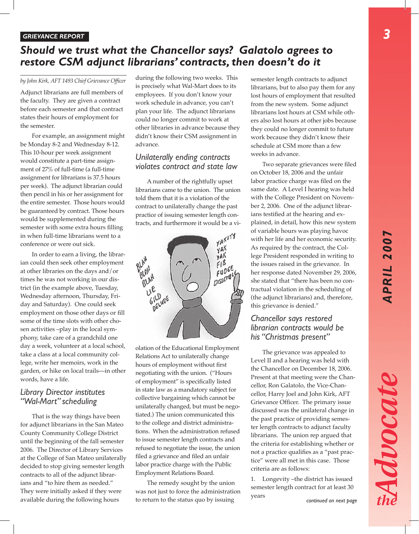Advocate

3

#### *GRIEVANCE REPORT*

### *Should we trust what the Chancellor says? Galatolo agrees to restore CSM adjunct librarians' contracts, then doesn't do it*

*by John Kirk, AFT 1493 Chief Grievance Officer*

Adjunct librarians are full members of the faculty. They are given a contract before each semester and that contract states their hours of employment for the semester.

For example, an assignment might be Monday 8-2 and Wednesday 8-12. This 10-hour per week assignment would constitute a part-time assignment of 27% of full-time (a full-time assignment for librarians is 37.5 hours per week). The adjunct librarian could then pencil in his or her assignment for the entire semester. Those hours would be guaranteed by contract. Those hours would be supplemented during the semester with some extra hours filling in when full-time librarians went to a conference or were out sick.

In order to earn a living, the librarian could then seek other employment at other libraries on the days and/or times he was not working in our district (in the example above, Tuesday, Wednesday afternoon, Thursday, Friday and Saturday). One could seek employment on those other days or fill some of the time slots with other chosen activities –play in the local symphony, take care of a grandchild one day a week, volunteer at a local school, take a class at a local community college, write her memoirs, work in the garden, or hike on local trails—in other words, have a life.

#### *Library Director institutes "Wal-Mart" scheduling*

That is the way things have been for adjunct librarians in the San Mateo County Community College District until the beginning of the fall semester 2006. The Director of Library Services at the College of San Mateo unilaterally decided to stop giving semester length contracts to all of the adjunct librarians and "to hire them as needed." They were initially asked if they were available during the following hours

during the following two weeks. This is precisely what Wal-Mart does to its employees. If you don't know your work schedule in advance, you can't plan your life. The adjunct librarians could no longer commit to work at other libraries in advance because they didn't know their CSM assignment in advance.

#### *Unilaterally ending contracts violates contract and state law*

A number of the rightfully upset librarians came to the union. The union told them that it is a violation of the contract to unilaterally change the past practice of issuing semester length contracts, and furthermore it would be a vi-



olation of the Educational Employment Relations Act to unilaterally change hours of employment without first negotiating with the union. ("Hours of employment" is specifically listed in state law as a mandatory subject for collective bargaining which cannot be unilaterally changed, but must be negotiated.) The union communicated this to the college and district administrations. When the administration refused to issue semester length contracts and refused to negotiate the issue, the union filed a grievance and filed an unfair labor practice charge with the Public Employment Relations Board.

The remedy sought by the union was not just to force the administration to return to the status quo by issuing

semester length contracts to adjunct librarians, but to also pay them for any lost hours of employment that resulted from the new system. Some adjunct librarians lost hours at CSM while others also lost hours at other jobs because they could no longer commit to future work because they didn't know their schedule at CSM more than a few weeks in advance.

Two separate grievances were filed on October 18, 2006 and the unfair labor practice charge was filed on the same date. A Level I hearing was held with the College President on November 2, 2006. One of the adjunct librarians testified at the hearing and explained, in detail, how this new system of variable hours was playing havoc with her life and her economic security. As required by the contract, the College President responded in writing to the issues raised in the grievance. In her response dated November 29, 2006, she stated that "there has been no contractual violation in the scheduling of (the adjunct librarians) and, therefore, this grievance is denied."

#### *Chancellor says restored librarian contracts would be his "Christmas present"*

The grievance was appealed to Level II and a hearing was held with the Chancellor on December 18, 2006. Present at that meeting were the Chancellor, Ron Galatolo, the Vice-Chancellor, Harry Joel and John Kirk, AFT Grievance Officer. The primary issue discussed was the unilateral change in the past practice of providing semester length contracts to adjunct faculty librarians. The union rep argued that the criteria for establishing whether or not a practice qualifies as a "past practice" were all met in this case. Those criteria are as follows:

1. Longevity –the district has issued semester length contract for at least 30 years *continued on next page*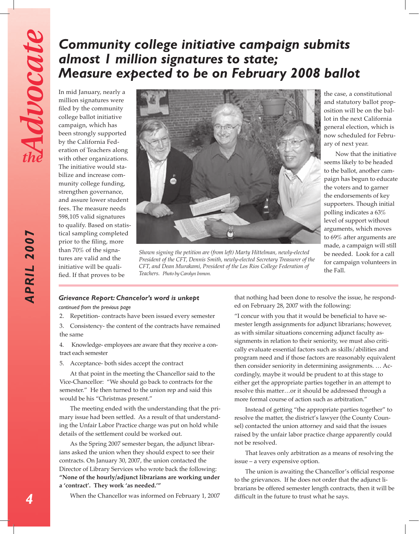# *Community college initiative campaign submits almost 1 million signatures to state; Measure expected to be on February 2008 ballot*

In mid January, nearly a million signatures were filed by the community college ballot initiative campaign, which has been strongly supported by the California Federation of Teachers along with other organizations. The initiative would stabilize and increase community college funding, strengthen governance, and assure lower student fees. The measure needs 598,105 valid signatures to qualify. Based on statistical sampling completed prior to the filing, more than 70% of the signatures are valid and the initiative will be qualified. If that proves to be



*Shown signing the petition are (from left) Marty Hittelman, newly-elected President of the CFT, Dennis Smith, newly-elected Secretary Treasurer of the CFT, and Dean Murakami, President of the Los Rios College Federation of Teachers. Photo by Carolyn Inmon.* 

the case, a constitutional and statutory ballot proposition will be on the ballot in the next California general election, which is now scheduled for February of next year.

 Now that the initiative seems likely to be headed to the ballot, another campaign has begun to educate the voters and to garner the endorsements of key supporters. Though initial polling indicates a 63% level of support without arguments, which moves to 69% after arguments are made, a campaign will still be needed. Look for a call for campaign volunteers in the Fall.

#### *Grievance Report: Chancelor's word is unkept*

*continued from the previous page*

2. Repetition- contracts have been issued every semester

3. Consistency- the content of the contracts have remained the same

4. Knowledge- employees are aware that they receive a contract each semester

5. Acceptance- both sides accept the contract

 At that point in the meeting the Chancellor said to the Vice-Chancellor: "We should go back to contracts for the semester." He then turned to the union rep and said this would be his "Christmas present."

 The meeting ended with the understanding that the primary issue had been settled. As a result of that understanding the Unfair Labor Practice charge was put on hold while details of the settlement could be worked out.

 As the Spring 2007 semester began, the adjunct librarians asked the union when they should expect to see their contracts. On January 30, 2007, the union contacted the Director of Library Services who wrote back the following: **"None of the hourly/adjunct librarians are working under a 'contract'. They work 'as needed.'"**

 When the Chancellor was informed on February 1, 2007

that nothing had been done to resolve the issue, he responded on February 28, 2007 with the following:

"I concur with you that it would be beneficial to have semester length assignments for adjunct librarians; however, as with similar situations concerning adjunct faculty assignments in relation to their seniority, we must also critically evaluate essential factors such as skills/abilities and program need and if those factors are reasonably equivalent then consider seniority in determining assignments. … Accordingly, maybe it would be prudent to at this stage to either get the appropriate parties together in an attempt to resolve this matter…or it should be addressed through a more formal course of action such as arbitration."

 Instead of getting "the appropriate parties together" to resolve the matter, the district's lawyer (the County Counsel) contacted the union attorney and said that the issues raised by the unfair labor practice charge apparently could not be resolved.

 That leaves only arbitration as a means of resolving the issue – a very expensive option.

The union is awaiting the Chancellor's official response to the grievances. If he does not order that the adjunct librarians be offered semester length contracts, then it will be difficult in the future to trust what he says.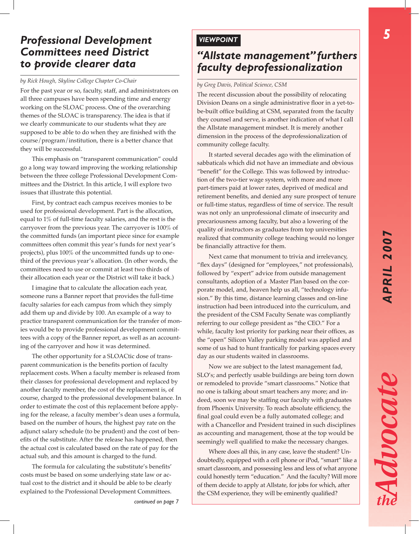# *Professional Development Committees need District to provide clearer data*

### *by Rick Hough, Skyline College Chapter Co-Chair by Greg Davis, Political Science, CSM*

For the past year or so, faculty, staff, and administrators on all three campuses have been spending time and energy working on the SLOAC process. One of the overarching themes of the SLOAC is transparency. The idea is that if we clearly communicate to our students what they are supposed to be able to do when they are finished with the course/program/institution, there is a better chance that they will be successful.

This emphasis on "transparent communication" could go a long way toward improving the working relationship between the three college Professional Development Committees and the District. In this article, I will explore two issues that illustrate this potential.

First, by contract each campus receives monies to be used for professional development. Part is the allocation, equal to 1% of full-time faculty salaries, and the rest is the carryover from the previous year. The carryover is 100% of the committed funds (an important piece since for example committees often commit this year's funds for next year's projects), plus 100% of the uncommitted funds up to onethird of the previous year's allocation. (In other words, the committees need to use or commit at least two thirds of their allocation each year or the District will take it back.)

I imagine that to calculate the allocation each year, someone runs a Banner report that provides the full-time faculty salaries for each campus from which they simply add them up and divide by 100. An example of a way to practice transparent communication for the transfer of monies would be to provide professional development committees with a copy of the Banner report, as well as an accounting of the carryover and how it was determined.

The other opportunity for a SLOACtic dose of transparent communication is the benefits portion of faculty replacement costs. When a faculty member is released from their classes for professional development and replaced by another faculty member, the cost of the replacement is, of course, charged to the professional development balance. In order to estimate the cost of this replacement before applying for the release, a faculty member's dean uses a formula, based on the number of hours, the highest pay rate on the adjunct salary schedule (to be prudent) and the cost of benefits of the substitute. After the release has happened, then the actual cost is calculated based on the rate of pay for the actual sub, and this amount is charged to the fund.

The formula for calculating the substitute's benefits' costs must be based on some underlying state law or actual cost to the district and it should be able to be clearly explained to the Professional Development Committees.

# *"Allstate management" furthers faculty deprofessionalization*

The recent discussion about the possibility of relocating Division Deans on a single administrative floor in a yet-tobe-built office building at CSM, separated from the faculty they counsel and serve, is another indication of what I call the Allstate management mindset. It is merely another dimension in the process of the deprofessionalization of community college faculty.

It started several decades ago with the elimination of sabbaticals which did not have an immediate and obvious "benefit" for the College. This was followed by introduction of the two-tier wage system, with more and more part-timers paid at lower rates, deprived of medical and retirement benefits, and denied any sure prospect of tenure or full-time status, regardless of time of service. The result was not only an unprofessional climate of insecurity and precariousness among faculty, but also a lowering of the quality of instructors as graduates from top universities realized that community college teaching would no longer be financially attractive for them.

Next came that monument to trivia and irrelevancy, "flex days" (designed for "employees," not professionals), followed by "expert" advice from outside management consultants, adoption of a Master Plan based on the corporate model, and, heaven help us all, "technology infusion." By this time, distance learning classes and on-line instruction had been introduced into the curriculum, and the president of the CSM Faculty Senate was compliantly referring to our college president as "the CEO." For a while, faculty lost priority for parking near their offices, as the "open" Silicon Valley parking model was applied and some of us had to hunt frantically for parking spaces every day as our students waited in classrooms.

Now we are subject to the latest management fad, SLO's; and perfectly usable buildings are being torn down or remodeled to provide "smart classrooms." Notice that no one is talking about smart teachers any more; and indeed, soon we may be staffing our faculty with graduates from Phoenix University. To reach absolute efficiency, the final goal could even be a fully automated college; and with a Chancellor and President trained in such disciplines as accounting and management, those at the top would be seemingly well qualified to make the necessary changes.

Where does all this, in any case, leave the student? Undoubtedly, equipped with a cell phone or iPod, "smart" like a smart classroom, and possessing less and less of what anyone could honestly term "education." And the faculty? Will more of them decide to apply at Allstate, for jobs for which, after the CSM experience, they will be eminently qualified?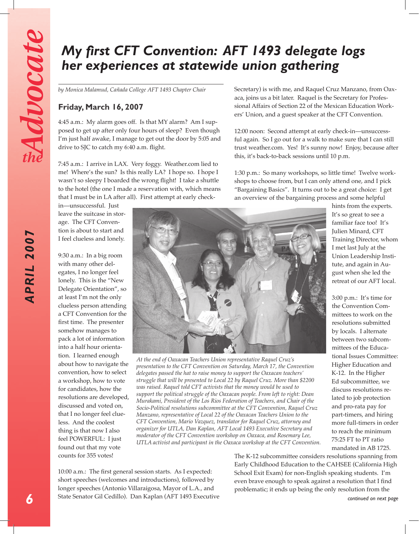*APRIL 2007*

APRIL 2007

# *My first CFT Convention: AFT 1493 delegate logs her experiences at statewide union gathering*

*by Monica Malamud, Cañada College AFT 1493 Chapter Chair*

#### **Friday, March 16, 2007**

4:45 a.m.: My alarm goes off. Is that MY alarm? Am I supposed to get up after only four hours of sleep? Even though I'm just half awake, I manage to get out the door by 5:05 and drive to SJC to catch my 6:40 a.m. flight.

7:45 a.m.: I arrive in LAX. Very foggy. Weather.com lied to me! Where's the sun? Is this really LA? I hope so. I hope I wasn't so sleepy I boarded the wrong flight! I take a shuttle to the hotel (the one I made a reservation with, which means that I must be in LA after all). First attempt at early check-

in—unsuccessful. Just leave the suitcase in storage. The CFT Convention is about to start and I feel clueless and lonely.

9:30 a.m.: In a big room with many other delegates, I no longer feel lonely. This is the "New Delegate Orientation", so at least I'm not the only clueless person attending a CFT Convention for the first time. The presenter somehow manages to pack a lot of information into a half hour orientation. I learned enough about how to navigate the convention, how to select a workshop, how to vote for candidates, how the resolutions are developed, discussed and voted on, that I no longer feel clueless. And the coolest thing is that now I also feel POWERFUL: I just found out that my vote counts for 355 votes!



*At the end of Oaxacan Teachers Union representative Raquel Cruz's presentation to the CFT Convention on Saturday, March 17, the Convention delegates passed the hat to raise money to support the Oaxacan teachers' struggle that will be presented to Local 22 by Raquel Cruz. More than \$2200 was raised. Raquel told CFT activists that the money would be used to support the political struggle of the Oaxacan people. From left to right: Dean Murakami, President of the Los Rios Federation of Teachers, and Chair of the Socio-Political resolutions subcommittee at the CFT Convention, Raquel Cruz Manzano, representative of Local 22 of the Oaxacan Teachers Union to the CFT Convention, Mario Vazquez, translator for Raquel Cruz, attorney and organizer for UTLA, Dan Kaplan, AFT Local 1493 Executive Secretary and moderator of the CFT Convention workshop on Oaxaca, and Rosemary Lee, UTLA activist and participant in the Oaxaca workshop at the CFT Convention.*

**continued on next page**<br>
State Senator Gil Cedillo). Dan Kaplan (AFT 1493 Executive continued on next page 10:00 a.m.: The first general session starts. As I expected: short speeches (welcomes and introductions), followed by longer speeches (Antonio Villaraigosa, Mayor of L.A., and

Secretary) is with me, and Raquel Cruz Manzano, from Oaxaca, joins us a bit later. Raquel is the Secretary for Professional Affairs of Section 22 of the Mexican Education Workers' Union, and a guest speaker at the CFT Convention.

12:00 noon: Second attempt at early check-in—unsuccessful again. So I go out for a walk to make sure that I can still trust weather.com. Yes! It's sunny now! Enjoy, because after this, it's back-to-back sessions until 10 p.m.

1:30 p.m.: So many workshops, so little time! Twelve workshops to choose from, but I can only attend one, and I pick "Bargaining Basics". It turns out to be a great choice: I get an overview of the bargaining process and some helpful

> hints from the experts. It's so great to see a familiar face too! It's Julien Minard, CFT Training Director, whom I met last July at the Union Leadership Institute, and again in August when she led the retreat of our AFT local.

> 3:00 p.m.: It's time for the Convention Committees to work on the resolutions submitted by locals. I alternate between two subcommittees of the Educational Issues Committee: Higher Education and K-12. In the Higher Ed subcommittee, we discuss resolutions related to job protection and pro-rata pay for part-timers, and hiring more full-timers in order to reach the minimum 75:25 FT to PT ratio mandated in AB 1725.

The K-12 subcommittee considers resolutions spanning from Early Childhood Education to the CAHSEE (California High School Exit Exam) for non-English speaking students. I'm even brave enough to speak against a resolution that I find problematic; it ends up being the only resolution from the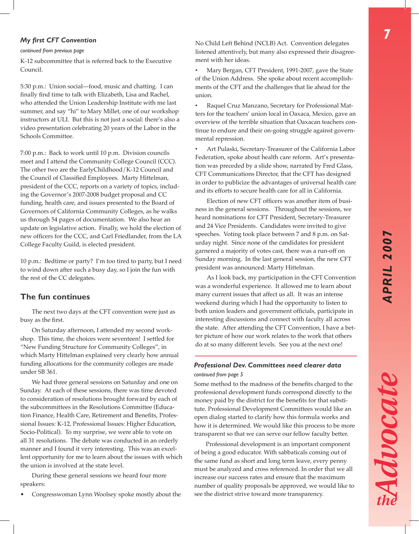Advocate

#### *My first CFT Convention*

#### *continued from previous page*

K-12 subcommittee that is referred back to the Executive Council.

5:30 p.m.: Union social—food, music and chatting. I can finally find time to talk with Elizabeth, Lisa and Rachel, who attended the Union Leadership Institute with me last summer, and say "hi" to Mary Millet, one of our workshop instructors at ULI. But this is not just a social: there's also a video presentation celebrating 20 years of the Labor in the Schools Committee.

7:00 p.m.: Back to work until 10 p.m. Division councils meet and I attend the Community College Council (CCC). The other two are the EarlyChildhood/K-12 Council and the Council of Classified Employees. Marty Hittelman, president of the CCC, reports on a variety of topics, including the Governor's 2007-2008 budget proposal and CC funding, health care, and issues presented to the Board of Governors of California Community Colleges, as he walks us through 54 pages of documentation. We also hear an update on legislative action. Finally, we hold the election of new officers for the CCC, and Carl Friedlander, from the LA College Faculty Guild, is elected president.

10 p.m.: Bedtime or party? I'm too tired to party, but I need to wind down after such a busy day, so I join the fun with the rest of the CC delegates.

#### **The fun continues**

The next two days at the CFT convention were just as busy as the first.

On Saturday afternoon, I attended my second workshop. This time, the choices were seventeen! I settled for "New Funding Structure for Community Colleges", in which Marty Hittelman explained very clearly how annual funding allocations for the community colleges are made under SB 361.

We had three general sessions on Saturday and one on Sunday. At each of these sessions, there was time devoted to consideration of resolutions brought forward by each of the subcommittees in the Resolutions Committee (Education Finance, Health Care, Retirement and Benefits, Professional Issues: K-12, Professional Issues: Higher Education, Socio-Political). To my surprise, we were able to vote on all 31 resolutions. The debate was conducted in an orderly manner and I found it very interesting. This was an excellent opportunity for me to learn about the issues with which the union is involved at the state level.

During these general sessions we heard four more speakers:

• Congresswoman Lynn Woolsey spoke mostly about the

No Child Left Behind (NCLB) Act. Convention delegates listened attentively, but many also expressed their disagreement with her ideas.

Mary Bergan, CFT President, 1991-2007, gave the State of the Union Address. She spoke about recent accomplishments of the CFT and the challenges that lie ahead for the union.

• Raquel Cruz Manzano, Secretary for Professional Matters for the teachers' union local in Oaxaca, Mexico, gave an overview of the terrible situation that Oaxacan teachers continue to endure and their on-going struggle against governmental repression.

Art Pulaski, Secretary-Treasurer of the California Labor Federation, spoke about health care reform. Art's presentation was preceded by a slide show, narrated by Fred Glass, CFT Communications Director, that the CFT has designed in order to publicize the advantages of universal health care and its efforts to secure health care for all in California.

Election of new CFT officers was another item of business in the general sessions. Throughout the sessions, we heard nominations for CFT President, Secretary-Treasurer and 24 Vice Presidents. Candidates were invited to give speeches. Voting took place between 7 and 8 p.m. on Saturday night. Since none of the candidates for president garnered a majority of votes cast, there was a run-off on Sunday morning. In the last general session, the new CFT president was announced: Marty Hittelman.

As I look back, my participation in the CFT Convention was a wonderful experience. It allowed me to learn about many current issues that affect us all. It was an intense weekend during which I had the opportunity to listen to both union leaders and government officials, participate in interesting discussions and connect with faculty all across the state. After attending the CFT Convention, I have a better picture of how our work relates to the work that others do at so many different levels. See you at the next one!

#### *continued from page 5 Professional Dev. Committees need clearer data*

Some method to the madness of the benefits charged to the professional development funds correspond directly to the money paid by the district for the benefits for that substitute. Professional Development Committees would like an open dialog started to clarify how this formula works and how it is determined. We would like this process to be more transparent so that we can serve our fellow faculty better.

Professional development is an important component of being a good educator. With sabbaticals coming out of the same fund as short and long term leave, every penny must be analyzed and cross referenced. In order that we all increase our success rates and ensure that the maximum number of quality proposals be approved, we would like to see the district strive toward more transparency.